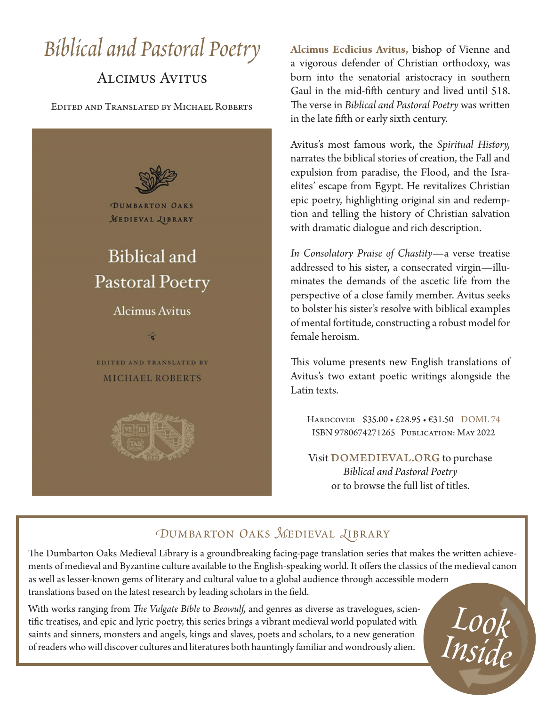# *Biblical and Pastoral Poetry*

# Alcimus Avitus

Edited and Translated by Michael Roberts



**Alcimus Ecdicius Avitus,** bishop of Vienne and a vigorous defender of Christian orthodoxy, was born into the senatorial aristocracy in southern Gaul in the mid-fifth century and lived until 518. The verse in *Biblical and Pastoral Poetry* was written in the late fifth or early sixth century.

Avitus's most famous work, the *Spiritual History,* narrates the biblical stories of creation, the Fall and expulsion from paradise, the Flood, and the Israelites' escape from Egypt. He revitalizes Christian epic poetry, highlighting original sin and redemption and telling the history of Christian salvation with dramatic dialogue and rich description.

*In Consolatory Praise of Chastity*—a verse treatise addressed to his sister, a consecrated virgin—illuminates the demands of the ascetic life from the perspective of a close family member. Avitus seeks to bolster his sister's resolve with biblical examples of mental fortitude, constructing a robust model for female heroism.

This volume presents new English translations of Avitus's two extant poetic writings alongside the Latin texts.

Hardcover \$35.00 • £28.95 • €31.50 DOML 74 ISBN 9780674271265 Publication: May 2022

Visit DOMEDIEVAL.ORG to purchase *Biblical and Pastoral Poetry* or to browse the full list of titles.

*Look* 

*Inside*

## *DUMBARTON OAKS MEDIEVAL LIBRARY*

The Dumbarton Oaks Medieval Library is a groundbreaking facing-page translation series that makes the written achievements of medieval and Byzantine culture available to the English-speaking world. It offers the classics of the medieval canon as well as lesser-known gems of literary and cultural value to a global audience through accessible modern translations based on the latest research by leading scholars in the field.

With works ranging from *The Vulgate Bible* to *Beowulf,* and genres as diverse as travelogues, scientific treatises, and epic and lyric poetry, this series brings a vibrant medieval world populated with saints and sinners, monsters and angels, kings and slaves, poets and scholars, to a new generation of readers who will discover cultures and literatures both hauntingly familiar and wondrously alien.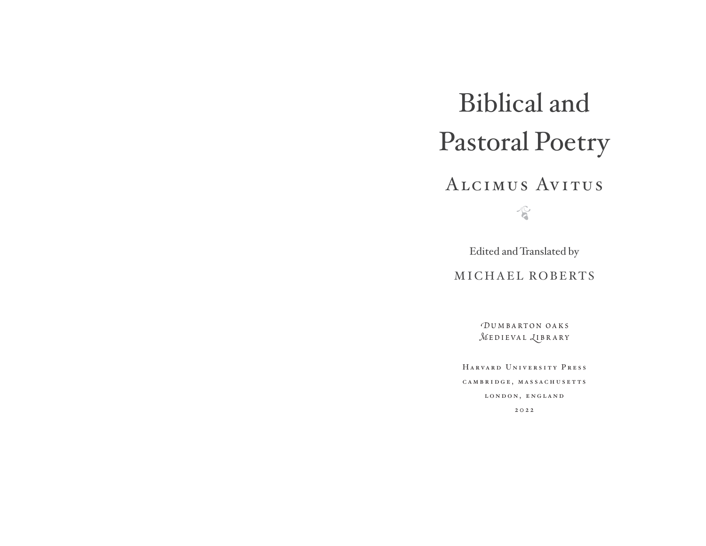# Biblical and Pastoral Poetry

# AlcimusAvitus

 $\sqrt{6}$ 

Edited and Translated by

MICHAEL ROBERTS

*D*umbarton oaks *M***EDIEVAL** *<u>LIBRARY</u>* 

HarvardUniversityPress CAMBRIDGE, MASSACHUSETTS LONDON, ENGLAND

2022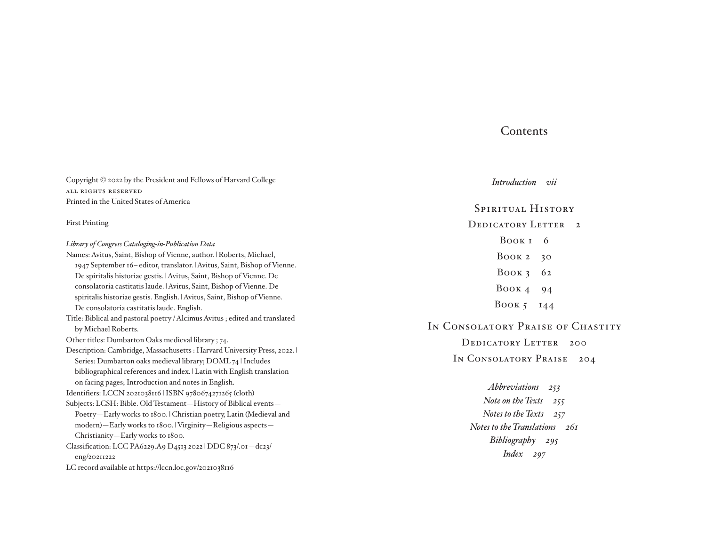### **Contents**

Copyright © 2022 by the President and Fellows of Harvard College ALL RIGHTS RESERVED Printed in the United States of America First Printing *Library of Congress Cataloging- in- Publication Data* Names: Avitus, Saint, Bishop of Vienne, author. | Roberts, Michael, <sup>1947</sup>September 16– editor, translator. | Avitus, Saint, Bishop of Vienne. De spiritalis historiae gestis. | Avitus, Saint, Bishop of Vienne. De consolatoria castitatis laude. | Avitus, Saint, Bishop of Vienne. De spiritalis historiae gestis. English. | Avitus, Saint, Bishop of Vienne. De consolatoria castitatis laude. English. Title: Biblical and pastoral poetry / Alcimus Avitus ; edited and translated by Michael Roberts. Other titles: Dumbarton Oaks medieval library ; 74. Description: Cambridge, Massachusetts : Harvard University Press, 2022. | Series: Dumbarton oaks medieval library; DOML 74 | Includes bibliographical references and index. | Latin with English translation on facing pages; Introduction and notes in English. Identifiers: LCCN 2021038116 | ISBN 9780674271265 (cloth) Subjects: LCSH: Bible. Old Testament—History of Biblical events— Poetry—Early works to 1800. | Christian poetry, Latin (Medieval and modern)—Early works to 1800. | Virginity—Religious aspects— Christianity—Early works to 1800. Classification: LCC PA6229.A9 D4513 2022 | DDC 873/.01—dc23/ eng/20211222 *Introduction-vii*Spiritual History DEDICATORY LETTER<sub>2</sub> BOOK<sub>I</sub> 6 BOOK  $2, 30$ BOOK  $362$ BOOK  $4\overline{94}$ BOOK  $5144$ IN CONSOLATORY PRAISE OF CHASTITY DEDICATORY LETTER 200 IN CONSOLATORY PRAISE 204 *Abbreviations-253 Note on the Texts-255 Notes to the Texts-257 Notes to the Translations-261 Bibliography-295 Index-297*

LC record available at https://lccn.loc.gov/2021038116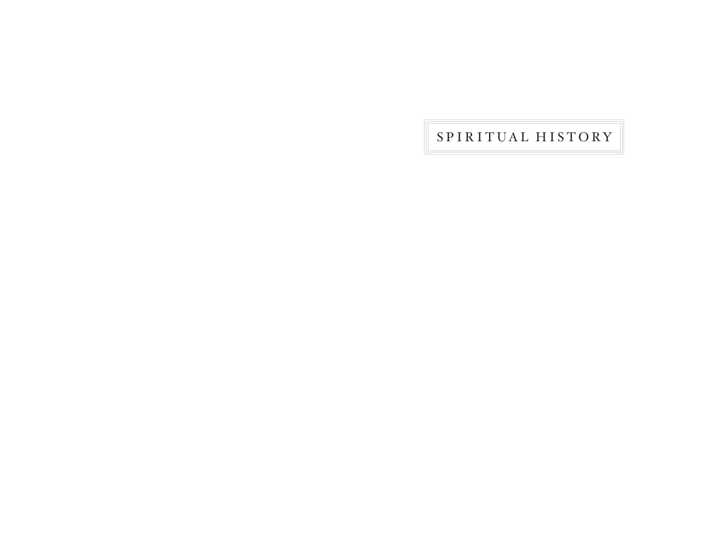SPIRITUAL HISTORY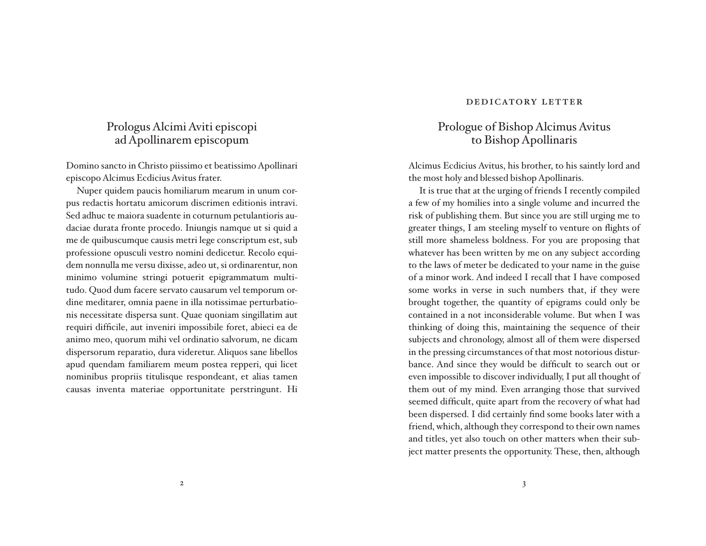## Prologus Alcimi Aviti episcopi ad Apollinarem episcopum

Domino sancto in Christo piissimo et beatissimo Apollinari episcopo Alcimus Ecdicius Avitus frater.

Nuper quidem paucis homiliarum mearum in unum corpus redactis hortatu amicorum discrimen editionis intravi. Sed adhuc te maiora suadente in coturnum petulantioris audaciae durata fronte procedo. Iniungis namque ut si quid a me de quibuscumque causis metri lege conscriptum est, sub professione opusculi vestro nomini dedicetur. Recolo equidem nonnulla me versu dixisse, adeo ut, si ordinarentur, non minimo volumine stringi potuerit epigrammatum multitudo. Quod dum facere servato causarum vel temporum ordine meditarer, omnia paene in illa notissimae perturbationis necessitate dispersa sunt. Quae quoniam singillatim aut requiri difficile, aut inveniri impossibile foret, abieci ea de animo meo, quorum mihi vel ordinatio salvorum, ne dicam dispersorum reparatio, dura videretur. Aliquos sane libellos apud quendam familiarem meum postea repperi, qui licet nominibus propriis titulisque respondeant, et alias tamen causas inventa materiae opportunitate perstringunt. Hi

#### DEDICATORY LETTER

## Prologue of Bishop Alcimus Avitus to Bishop Apollinaris

Alcimus Ecdicius Avitus, his brother, to his saintly lord and the most holy and blessed bishop Apollinaris.

 It is true that at the urging of friends I recently compiled a few of my homilies into a single volume and incurred the risk of publishing them. But since you are still urging me to greater things, I am steeling myself to venture on flights of still more shameless boldness. For you are proposing that whatever has been written by me on any subject according to the laws of meter be dedicated to your name in the guise of a minor work. And indeed I recall that I have composed some works in verse in such numbers that, if they were brought together, the quantity of epigrams could only be contained in a not inconsiderable volume. But when I was thinking of doing this, maintaining the sequence of their subjects and chronology, almost all of them were dispersed in the pressing circumstances of that most notorious disturbance. And since they would be difficult to search out or even impossible to discover individually, I put all thought of them out of my mind. Even arranging those that survived seemed difficult, quite apart from the recovery of what had been dispersed. I did certainly find some books later with a friend, which, although they correspond to their own names and titles, yet also touch on other matters when their subject matter presents the opportunity. These, then, although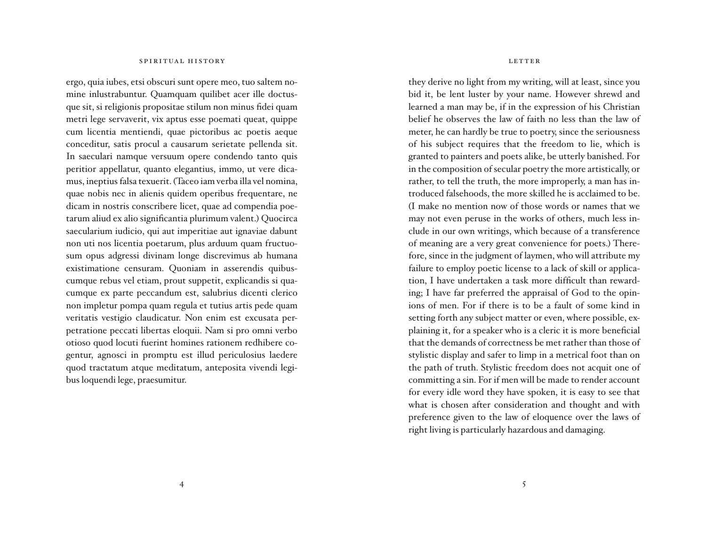#### SPIRITUAL HISTORY

ergo, quia iubes, etsi obscuri sunt opere meo, tuo saltem nomine inlustrabuntur. Quamquam quilibet acer ille doctusque sit, si religionis propositae stilum non minus fidei quam metri lege servaverit, vix aptus esse poemati queat, quippe cum licentia mentiendi, quae pictoribus ac poetis aeque conceditur, satis procul a causarum serietate pellenda sit. In saeculari namque versuum opere condendo tanto quis peritior appellatur, quanto elegantius, immo, ut vere dicamus, ineptius falsa texuerit. (Taceo iam verba illa vel nomina, quae nobis nec in alienis quidem operibus frequentare, ne dicam in nostris conscribere licet, quae ad compendia poetarum aliud ex alio significantia plurimum valent.) Quocirca saecularium iudicio, qui aut imperitiae aut ignaviae dabunt non uti nos licentia poetarum, plus arduum quam fructuosum opus adgressi divinam longe discrevimus ab humana existimatione censuram. Quoniam in asserendis quibuscum que rebus vel etiam, prout suppetit, explicandis si quacum que ex parte peccandum est, salubrius dicenti clerico non impletur pompa quam regula et tutius artis pede quam veritatis vestigio claudicatur. Non enim est excusata perpetratione peccati libertas eloquii. Nam si pro omni verbo otioso quod locuti fuerint homines rationem redhibere cogentur, agnosci in promptu est illud periculosius laedere quod tractatum atque meditatum, anteposita vivendi legibus loquendi lege, praesumitur.

#### LETTER

they derive no light from my writing, will at least, since you bid it, be lent luster by your name. However shrewd and learned a man may be, if in the expression of his Christian belief he observes the law of faith no less than the law of meter, he can hardly be true to poetry, since the seriousness of his subject requires that the freedom to lie, which is granted to painters and poets alike, be utterly banished. For in the composition of secular poetry the more artistically, or rather, to tell the truth, the more improperly, a man has introduced falsehoods, the more skilled he is acclaimed to be. (I make no mention now of those words or names that we may not even peruse in the works of others, much less include in our own writings, which because of a transference of meaning are a very great convenience for poets.) Therefore, since in the judgment of laymen, who will attribute my failure to employ poetic license to a lack of skill or application, I have undertaken a task more difficult than rewarding; I have far preferred the appraisal of God to the opinions of men. For if there is to be a fault of some kind in setting forth any subject matter or even, where possible, explaining it, for a speaker who is a cleric it is more beneficial that the demands of correctness be met rather than those of stylistic display and safer to limp in a metrical foot than on the path of truth. Stylistic freedom does not acquit one of committing a sin. For if men will be made to render account for every idle word they have spoken, it is easy to see that what is chosen after consideration and thought and with preference given to the law of eloquence over the laws of right living is particularly hazardous and damaging.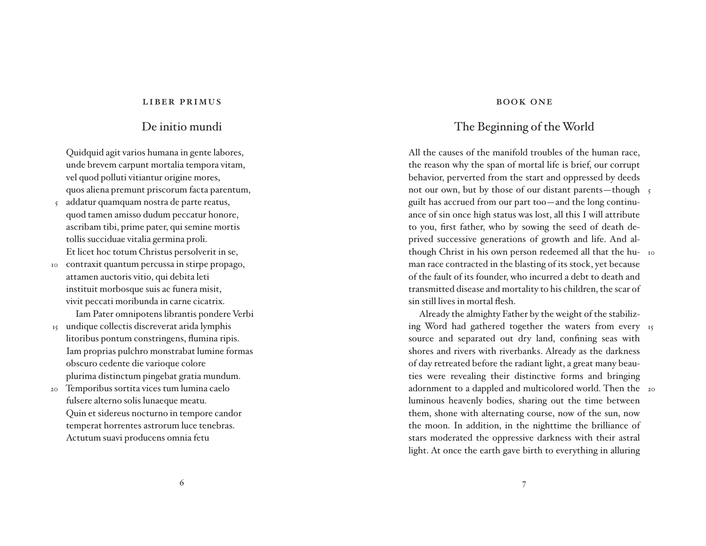#### LIBER PRIMUS

### De initio mundi

Quidquid agit varios humana in gente labores, unde brevem carpunt mortalia tempora vitam, vel quod polluti vitiantur origine mores, quos aliena premunt priscorum facta parentum,

- addatur quam quam nostra de parte reatus, quod tamen amisso dudum peccatur honore, ascribam tibi, prime pater, qui semine mortis tollis succiduae vitalia germina proli. Et licet hoc totum Christus persolverit in se, 5
- 10 contraxit quantum percussa in stirpe propago, attamen auctoris vitio, qui debita leti instituit morbosque suis ac funera misit, vivit peccati moribunda in carne cicatrix.

 Iam Pater omnipotens librantis pondere Verbi 15 undique collectis discreverat arida lymphis

- litoribus pontum constringens, flumina ripis. Iam proprias pulchro monstrabat lumine formas obscuro cedente die varioque colore plurima distinctum pingebat gratia mundum.
- Temporibus sortita vices tum lumina caelo fulsere alterno solis lunae que meatu. Quin et sidereus nocturno in tempore candor temperat horrentes astrorum luce tenebras. Actutum suavi producens omnia fetu 20

#### **BOOK ONE**

## The Beginning of the World

All the causes of the manifold troubles of the human race, the reason why the span of mortal life is brief, our corrupt behavior, perverted from the start and oppressed by deeds not our own, but by those of our distant parents—though 5 guilt has accrued from our part too—and the long continuance of sin once high status was lost, all this I will attribute to you, first father, who by sowing the seed of death deprived successive generations of growth and life. And although Christ in his own person redeemed all that the hu- 10 man race contracted in the blasting of its stock, yet because of the fault of its founder, who incurred a debt to death and transmitted disease and mortality to his children, the scar of sin still lives in mortal flesh.

 Already the almighty Father by the weight of the stabilizing Word had gathered together the waters from every 15 source and separated out dry land, confining seas with shores and rivers with riverbanks. Already as the darkness of day retreated before the radiant light, a great many beauties were revealing their distinctive forms and bringing adornment to a dappled and multicolored world. Then the 20luminous heavenly bodies, sharing out the time between them, shone with alternating course, now of the sun, now the moon. In addition, in the nighttime the brilliance of stars moderated the oppressive darkness with their astral light. At once the earth gave birth to everything in alluring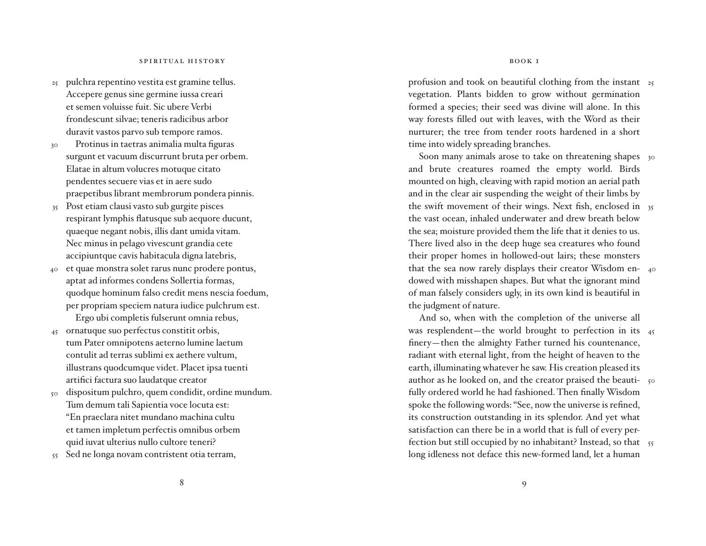- pulchra repentino vestita est gramine tellus. 25 Accepere genus sine germine iussa creari et semen voluisse fuit. Sic ubere Verbi fron descunt silvae; teneris radicibus arbor duravit vastos parvo sub tempore ramos.
- Protinus in taetras animalia multa figuras surgunt et vacuum discurrunt bruta per orbem. Elatae in altum volucres motuque citato pendentes secuere vias et in aere sudo praepetibus librant membrorum pondera pinnis. 30
- Post etiam clausi vasto sub gurgite pisces 35 respirant lymphis flatusque sub aequore ducunt, quae que negant nobis, illis dant umida vitam. Nec minus in pelago vivescunt grandia cete accipiuntque cavis habitacula digna latebris,
- et quae monstra solet rarus nunc prodere pontus, aptat ad informes condens Sollertia formas, quodque hominum falso credit mens nescia foedum, per propriam speciem natura iudice pulchrum est. Ergo ubi completis fulserunt omnia rebus, 40
- ornatuque suo perfectus constitit orbis, tum Pater omnipotens aeterno lumine laetum contulit ad terras sublimi ex aethere vultum, illustrans quodcum que videt. Placet ipsa tuenti artifici factura suo laudatque creator 45
- dispositum pulchro, quem condidit, ordine mundum. Tum demum tali Sapientia voce locuta est: "En praeclara nitet mundano machina cultu et tamen impletum perfectis omnibus orbem quid iuvat ulterius nullo cultore teneri? 50
- $_{55}$  Sed ne longa novam contristent otia terram,

profusion and took on beautiful clothing from the instant 25 vegetation. Plants bidden to grow without germination formed a species; their seed was divine will alone. In this way forests filled out with leaves, with the Word as their nurturer; the tree from tender roots hardened in a short time into widely spreading branches.

Soon many animals arose to take on threatening shapes 30 and brute creatures roamed the empty world. Birds mounted on high, cleaving with rapid motion an aerial path and in the clear air suspending the weight of their limbs by the swift movement of their wings. Next fish, enclosed in 35 the vast ocean, inhaled underwater and drew breath below the sea; moisture provided them the life that it denies to us. There lived also in the deep huge sea creatures who found their proper homes in hollowed-out lairs; these monsters that the sea now rarely displays their creator Wisdom en-40 dowed with misshapen shapes. But what the ignorant mind of man falsely considers ugly, in its own kind is beautiful in the judgment of nature.

 And so, when with the completion of the universe all was resplendent—the world brought to perfection in its 45 finery—then the almighty Father turned his countenance, radiant with eternal light, from the height of heaven to the earth, illuminating whatever he saw. His creation pleased its author as he looked on, and the creator praised the beauti-  $\,$   $_{\rm 50}$ fully ordered world he had fashioned. Then finally Wisdom spoke the following words: "See, now the universe is refined, its construction outstanding in its splendor. And yet what satisfaction can there be in a world that is full of every perfection but still occupied by no inhabitant? Instead, so that  $\,$   $_{55}$ long idleness not deface this new-formed land, let a human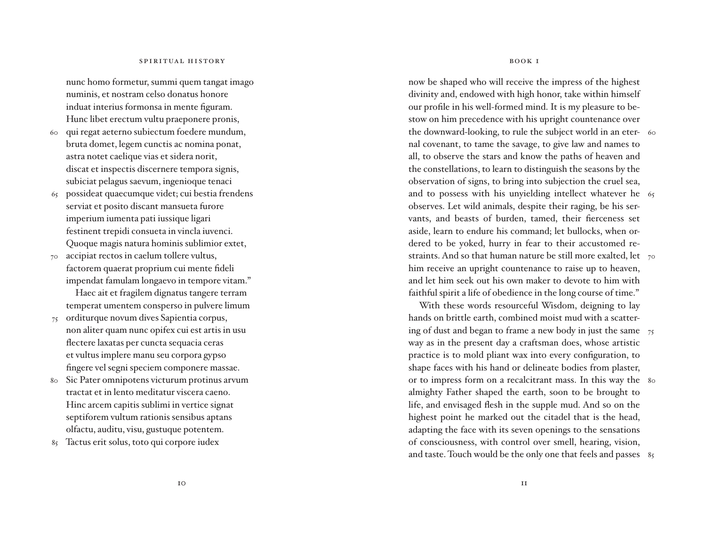nunc homo formetur, summi quem tangat imago numinis, et nostram celso donatus honore induat interius formonsa in mente figuram. Hunc libet erectum vultu praeponere pronis,

- qui regat aeterno subiectum foedere mundum, bruta domet, legem cunctis ac nomina ponat, astra notet caelique vias et sidera norit, discat et inspectis discernere tempora signis, subiciat pelagus saevum, ingenioque tenaci 60
- 65 possideat quaecumque videt; cui bestia frendens serviat et posito discant mansueta furore imperium iumenta pati iussique ligari festinent trepidi consueta in vincla iuvenci. Quoque magis natura hominis sublimior extet,
- accipiat rectos in caelum tollere vultus, factorem quaerat proprium cui mente fideli impendat famulam longaevo in tempore vitam." 70

Haec ait et fragilem dignatus tangere terram temperat umentem consperso in pulvere limum

- orditurque novum dives Sapientia corpus, non aliter quam nunc opifex cui est artis in usu flectere laxatas per cuncta sequacia ceras et vultus implere manu seu corpora gypso fingere vel segni speciem componere massae. 75
- Sic Pater omnipotens victurum protinus arvum tractat et in lento meditatur viscera caeno. Hinc arcem capitis sublimi in vertice signat septiforem vultum rationis sensibus aptans olfactu, auditu, visu, gustuque potentem. 80
- Tactus erit solus, toto qui corpore iudex 85

BOOK I

now be shaped who will receive the impress of the highest divinity and, endowed with high honor, take within himself our profile in his well-formed mind. It is my pleasure to bestow on him precedence with his upright countenance over the downward-looking, to rule the subject world in an eter-60 nal covenant, to tame the savage, to give law and names to all, to observe the stars and know the paths of heaven and the constellations, to learn to distinguish the seasons by the observation of signs, to bring into subjection the cruel sea, and to possess with his unyielding intellect whatever he 65 observes. Let wild animals, despite their raging, be his servants, and beasts of burden, tamed, their fierceness set aside, learn to endure his command; let bullocks, when ordered to be yoked, hurry in fear to their accustomed restraints. And so that human nature be still more exalted, let  $\,$   $_{7^{\rm o}}$ him receive an upright countenance to raise up to heaven, and let him seek out his own maker to devote to him with faithful spirit a life of obedience in the long course of time."

 With these words resourceful Wisdom, deigning to lay hands on brittle earth, combined moist mud with a scattering of dust and began to frame a new body in just the same 75 way as in the present day a craftsman does, whose artistic practice is to mold pliant wax into every configuration, to shape faces with his hand or delineate bodies from plaster, or to impress form on a recalcitrant mass. In this way the  $_{\rm 8o}$  almighty Father shaped the earth, soon to be brought to life, and envisaged flesh in the supple mud. And so on the highest point he marked out the citadel that is the head, adapting the face with its seven openings to the sensations of consciousness, with control over smell, hearing, vision, and taste. Touch would be the only one that feels and passes 85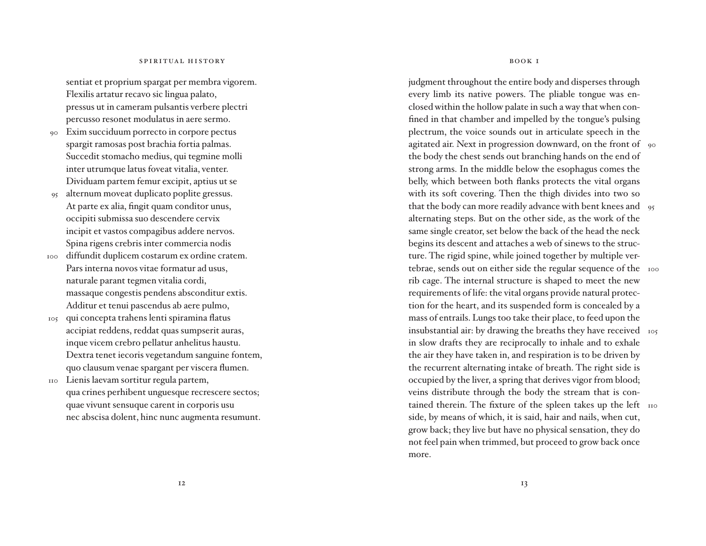sentiat et proprium spargat per membra vigorem. Flexilis artatur recavo sic lingua palato, pressus ut in cameram pulsantis verbere plectri percusso resonet modulatus in aere sermo.

- Exim succiduum porrecto in corpore pectus spargit ramosas post brachia fortia palmas. Succedit stomacho medius, qui tegmine molli inter utrumque latus foveat vitalia, venter. Dividuam partem femur excipit, aptius ut se  $90$
- alternum moveat duplicato poplite gressus. At parte ex alia, fingit quam conditor unus, occipiti submissa suo descendere cervix incipit et vastos compagibus addere nervos. Spina rigens crebris inter commercia nodis 95
- diffundit duplicem costarum ex ordine cratem. Pars interna novos vitae formatur ad usus, naturale parant tegmen vitalia cordi, massaque congestis pendens absconditur extis. Additur et tenui pascendus ab aere pulmo, 100
- qui con cepta trahens lenti spiramina flatus accipiat reddens, reddat quas sumpserit auras, inque vicem crebro pellatur anhelitus haustu. Dextra tenet iecoris vegetandum sanguine fontem, quo clausum venae spargant per viscera flumen. 105
- Lienis laevam sortitur regula partem, qua crines perhibent unguesque recrescere sectos; quae vivunt sensuque carent in corporis usu nec abscisa dolent, hinc nunc augmenta resumunt. 110

BOOK I

judgment throughout the entire body and disperses through every limb its native powers. The pliable tongue was enclosed within the hollow palate in such a way that when confined in that chamber and impelled by the tongue's pulsing plectrum, the voice sounds out in articulate speech in the agitated air. Next in progression downward, on the front of  $\,$  90  $\,$ the body the chest sends out branching hands on the end of strong arms. In the middle below the esophagus comes the belly, which between both flanks protects the vital organs with its soft covering. Then the thigh divides into two so that the body can more readily advance with bent knees and 95 alternating steps. But on the other side, as the work of the same single creator, set below the back of the head the neck begins its descent and attaches a web of sinews to the structure. The rigid spine, while joined together by multiple vertebrae, sends out on either side the regular sequence of the noo rib cage. The internal structure is shaped to meet the new requirements of life: the vital organs provide natural protection for the heart, and its suspended form is concealed by a mass of entrails. Lungs too take their place, to feed upon the insubstantial air: by drawing the breaths they have received 105 in slow drafts they are reciprocally to inhale and to exhale the air they have taken in, and respiration is to be driven by the recurrent alternating intake of breath. The right side is occupied by the liver, a spring that derives vigor from blood; veins distribute through the body the stream that is contained therein. The fixture of the spleen takes up the left no side, by means of which, it is said, hair and nails, when cut, grow back; they live but have no physical sensation, they do not feel pain when trimmed, but proceed to grow back once more.